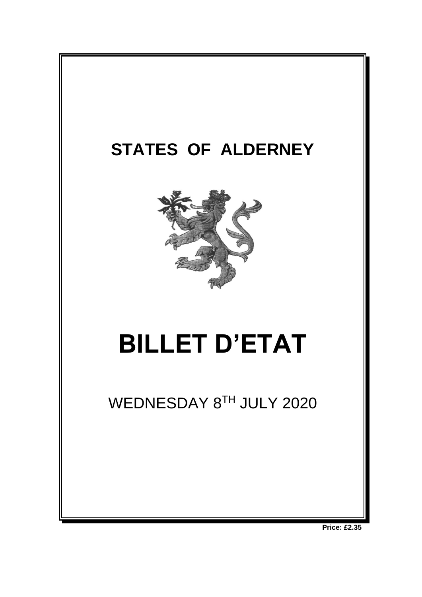

**Price: £2.35**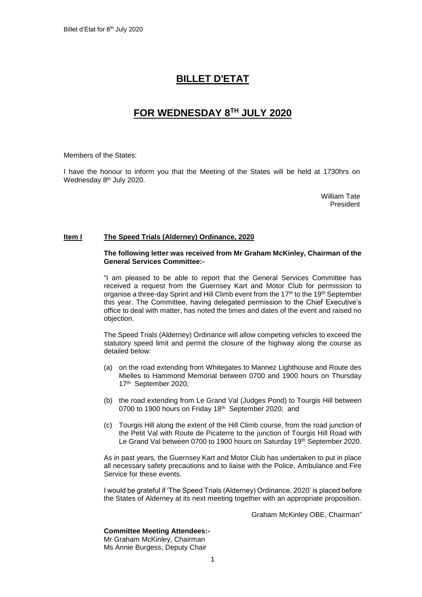# **BILLET D'ETAT**

# **FOR WEDNESDAY 8 TH JULY 2020**

Members of the States:

I have the honour to inform you that the Meeting of the States will be held at 1730hrs on Wednesday 8<sup>th</sup> July 2020.

> William Tate President

## **Item I The Speed Trials (Alderney) Ordinance, 2020**

#### **The following letter was received from Mr Graham McKinley, Chairman of the General Services Committee:-**

"I am pleased to be able to report that the General Services Committee has received a request from the Guernsey Kart and Motor Club for permission to organise a three-day Sprint and Hill Climb event from the 17<sup>th</sup> to the 19<sup>th</sup> September this year. The Committee, having delegated permission to the Chief Executive's office to deal with matter, has noted the times and dates of the event and raised no objection.

The Speed Trials (Alderney) Ordinance will allow competing vehicles to exceed the statutory speed limit and permit the closure of the highway along the course as detailed below:

- (a) on the road extending from Whitegates to Mannez Lighthouse and Route des Mielles to Hammond Memorial between 0700 and 1900 hours on Thursday 17th September 2020;
- (b) the road extending from Le Grand Val (Judges Pond) to Tourgis Hill between 0700 to 1900 hours on Friday 18<sup>th</sup> September 2020; and
- (c) Tourgis Hill along the extent of the Hill Climb course, from the road junction of the Petit Val with Route de Picaterre to the junction of Tourgis Hill Road with Le Grand Val between 0700 to 1900 hours on Saturday 19th September 2020.

As in past years, the Guernsey Kart and Motor Club has undertaken to put in place all necessary safety precautions and to liaise with the Police, Ambulance and Fire Service for these events.

I would be grateful if 'The Speed Trials (Alderney) Ordinance, 2020' is placed before the States of Alderney at its next meeting together with an appropriate proposition.

Graham McKinley OBE, Chairman"

**Committee Meeting Attendees:-**

Mr Graham McKinley, Chairman Ms Annie Burgess, Deputy Chair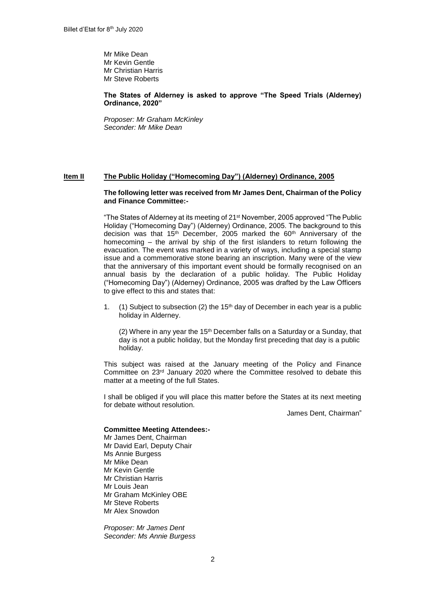Mr Mike Dean Mr Kevin Gentle Mr Christian Harris Mr Steve Roberts

## **The States of Alderney is asked to approve "The Speed Trials (Alderney) Ordinance, 2020"**

*Proposer: Mr Graham McKinley Seconder: Mr Mike Dean*

## **Item II The Public Holiday ("Homecoming Day") (Alderney) Ordinance, 2005**

#### **The following letter was received from Mr James Dent, Chairman of the Policy and Finance Committee:-**

"The States of Alderney at its meeting of 21<sup>st</sup> November, 2005 approved "The Public Holiday ("Homecoming Day") (Alderney) Ordinance, 2005. The background to this decision was that 15<sup>th</sup> December, 2005 marked the 60<sup>th</sup> Anniversary of the homecoming – the arrival by ship of the first islanders to return following the evacuation. The event was marked in a variety of ways, including a special stamp issue and a commemorative stone bearing an inscription. Many were of the view that the anniversary of this important event should be formally recognised on an annual basis by the declaration of a public holiday. The Public Holiday ("Homecoming Day") (Alderney) Ordinance, 2005 was drafted by the Law Officers to give effect to this and states that:

1. (1) Subject to subsection (2) the 15<sup>th</sup> day of December in each year is a public holiday in Alderney.

(2) Where in any year the 15<sup>th</sup> December falls on a Saturday or a Sunday, that day is not a public holiday, but the Monday first preceding that day is a public holiday.

This subject was raised at the January meeting of the Policy and Finance Committee on 23rd January 2020 where the Committee resolved to debate this matter at a meeting of the full States.

I shall be obliged if you will place this matter before the States at its next meeting for debate without resolution.

James Dent, Chairman"

#### **Committee Meeting Attendees:-**

Mr James Dent, Chairman Mr David Earl, Deputy Chair Ms Annie Burgess Mr Mike Dean Mr Kevin Gentle Mr Christian Harris Mr Louis Jean Mr Graham McKinley OBE Mr Steve Roberts Mr Alex Snowdon

*Proposer: Mr James Dent Seconder: Ms Annie Burgess*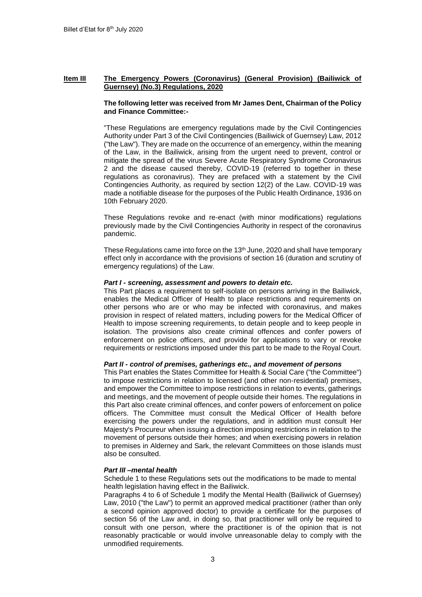## **Item III The Emergency Powers (Coronavirus) (General Provision) (Bailiwick of Guernsey) (No.3) Regulations, 2020**

#### **The following letter was received from Mr James Dent, Chairman of the Policy and Finance Committee:-**

"These Regulations are emergency regulations made by the Civil Contingencies Authority under Part 3 of the Civil Contingencies (Bailiwick of Guernsey) Law, 2012 ("the Law"). They are made on the occurrence of an emergency, within the meaning of the Law, in the Bailiwick, arising from the urgent need to prevent, control or mitigate the spread of the virus Severe Acute Respiratory Syndrome Coronavirus 2 and the disease caused thereby, COVID-19 (referred to together in these regulations as coronavirus). They are prefaced with a statement by the Civil Contingencies Authority, as required by section 12(2) of the Law. COVID-19 was made a notifiable disease for the purposes of the Public Health Ordinance, 1936 on 10th February 2020.

These Regulations revoke and re-enact (with minor modifications) regulations previously made by the Civil Contingencies Authority in respect of the coronavirus pandemic.

These Regulations came into force on the  $13<sup>th</sup>$  June, 2020 and shall have temporary effect only in accordance with the provisions of section 16 (duration and scrutiny of emergency regulations) of the Law.

#### *Part I - screening, assessment and powers to detain etc.*

This Part places a requirement to self-isolate on persons arriving in the Bailiwick, enables the Medical Officer of Health to place restrictions and requirements on other persons who are or who may be infected with coronavirus, and makes provision in respect of related matters, including powers for the Medical Officer of Health to impose screening requirements, to detain people and to keep people in isolation. The provisions also create criminal offences and confer powers of enforcement on police officers, and provide for applications to vary or revoke requirements or restrictions imposed under this part to be made to the Royal Court.

## *Part II - control of premises, gatherings etc., and movement of persons*

This Part enables the States Committee for Health & Social Care ("the Committee") to impose restrictions in relation to licensed (and other non-residential) premises, and empower the Committee to impose restrictions in relation to events, gatherings and meetings, and the movement of people outside their homes. The regulations in this Part also create criminal offences, and confer powers of enforcement on police officers. The Committee must consult the Medical Officer of Health before exercising the powers under the regulations, and in addition must consult Her Majesty's Procureur when issuing a direction imposing restrictions in relation to the movement of persons outside their homes; and when exercising powers in relation to premises in Alderney and Sark, the relevant Committees on those islands must also be consulted.

## *Part III –mental health*

Schedule 1 to these Regulations sets out the modifications to be made to mental health legislation having effect in the Bailiwick.

Paragraphs 4 to 6 of Schedule 1 modify the Mental Health (Bailiwick of Guernsey) Law, 2010 ("the Law") to permit an approved medical practitioner (rather than only a second opinion approved doctor) to provide a certificate for the purposes of section 56 of the Law and, in doing so, that practitioner will only be required to consult with one person, where the practitioner is of the opinion that is not reasonably practicable or would involve unreasonable delay to comply with the unmodified requirements.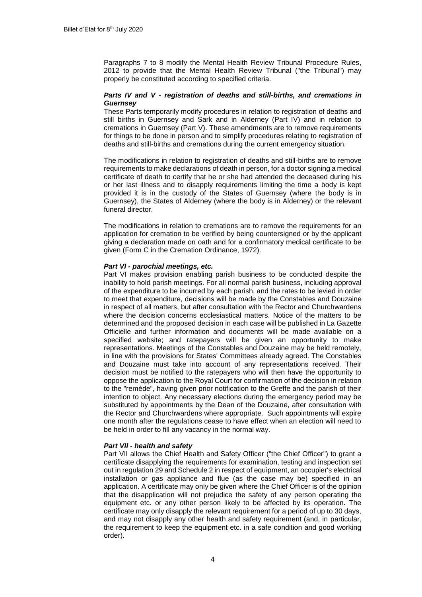Paragraphs 7 to 8 modify the Mental Health Review Tribunal Procedure Rules, 2012 to provide that the Mental Health Review Tribunal ("the Tribunal") may properly be constituted according to specified criteria.

## *Parts IV and V - registration of deaths and still-births, and cremations in Guernsey*

These Parts temporarily modify procedures in relation to registration of deaths and still births in Guernsey and Sark and in Alderney (Part IV) and in relation to cremations in Guernsey (Part V). These amendments are to remove requirements for things to be done in person and to simplify procedures relating to registration of deaths and still-births and cremations during the current emergency situation.

The modifications in relation to registration of deaths and still-births are to remove requirements to make declarations of death in person, for a doctor signing a medical certificate of death to certify that he or she had attended the deceased during his or her last illness and to disapply requirements limiting the time a body is kept provided it is in the custody of the States of Guernsey (where the body is in Guernsey), the States of Alderney (where the body is in Alderney) or the relevant funeral director.

The modifications in relation to cremations are to remove the requirements for an application for cremation to be verified by being countersigned or by the applicant giving a declaration made on oath and for a confirmatory medical certificate to be given (Form C in the Cremation Ordinance, 1972).

#### *Part VI - parochial meetings, etc.*

Part VI makes provision enabling parish business to be conducted despite the inability to hold parish meetings. For all normal parish business, including approval of the expenditure to be incurred by each parish, and the rates to be levied in order to meet that expenditure, decisions will be made by the Constables and Douzaine in respect of all matters, but after consultation with the Rector and Churchwardens where the decision concerns ecclesiastical matters. Notice of the matters to be determined and the proposed decision in each case will be published in La Gazette Officielle and further information and documents will be made available on a specified website; and ratepayers will be given an opportunity to make representations. Meetings of the Constables and Douzaine may be held remotely, in line with the provisions for States' Committees already agreed. The Constables and Douzaine must take into account of any representations received. Their decision must be notified to the ratepayers who will then have the opportunity to oppose the application to the Royal Court for confirmation of the decision in relation to the "remède", having given prior notification to the Greffe and the parish of their intention to object. Any necessary elections during the emergency period may be substituted by appointments by the Dean of the Douzaine, after consultation with the Rector and Churchwardens where appropriate. Such appointments will expire one month after the regulations cease to have effect when an election will need to be held in order to fill any vacancy in the normal way.

#### *Part VII - health and safety*

Part VII allows the Chief Health and Safety Officer ("the Chief Officer") to grant a certificate disapplying the requirements for examination, testing and inspection set out in regulation 29 and Schedule 2 in respect of equipment, an occupier's electrical installation or gas appliance and flue (as the case may be) specified in an application. A certificate may only be given where the Chief Officer is of the opinion that the disapplication will not prejudice the safety of any person operating the equipment etc. or any other person likely to be affected by its operation. The certificate may only disapply the relevant requirement for a period of up to 30 days, and may not disapply any other health and safety requirement (and, in particular, the requirement to keep the equipment etc. in a safe condition and good working order).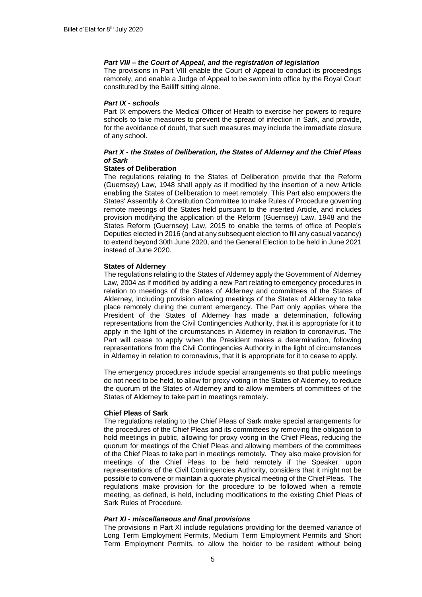## *Part VIII – the Court of Appeal, and the registration of legislation*

The provisions in Part VIII enable the Court of Appeal to conduct its proceedings remotely, and enable a Judge of Appeal to be sworn into office by the Royal Court constituted by the Bailiff sitting alone.

#### *Part IX - schools*

Part IX empowers the Medical Officer of Health to exercise her powers to require schools to take measures to prevent the spread of infection in Sark, and provide, for the avoidance of doubt, that such measures may include the immediate closure of any school.

## *Part X - the States of Deliberation, the States of Alderney and the Chief Pleas of Sark*

## **States of Deliberation**

The regulations relating to the States of Deliberation provide that the Reform (Guernsey) Law, 1948 shall apply as if modified by the insertion of a new Article enabling the States of Deliberation to meet remotely. This Part also empowers the States' Assembly & Constitution Committee to make Rules of Procedure governing remote meetings of the States held pursuant to the inserted Article, and includes provision modifying the application of the Reform (Guernsey) Law, 1948 and the States Reform (Guernsey) Law, 2015 to enable the terms of office of People's Deputies elected in 2016 (and at any subsequent election to fill any casual vacancy) to extend beyond 30th June 2020, and the General Election to be held in June 2021 instead of June 2020.

## **States of Alderney**

The regulations relating to the States of Alderney apply the Government of Alderney Law, 2004 as if modified by adding a new Part relating to emergency procedures in relation to meetings of the States of Alderney and committees of the States of Alderney, including provision allowing meetings of the States of Alderney to take place remotely during the current emergency. The Part only applies where the President of the States of Alderney has made a determination, following representations from the Civil Contingencies Authority, that it is appropriate for it to apply in the light of the circumstances in Alderney in relation to coronavirus. The Part will cease to apply when the President makes a determination, following representations from the Civil Contingencies Authority in the light of circumstances in Alderney in relation to coronavirus, that it is appropriate for it to cease to apply.

The emergency procedures include special arrangements so that public meetings do not need to be held, to allow for proxy voting in the States of Alderney, to reduce the quorum of the States of Alderney and to allow members of committees of the States of Alderney to take part in meetings remotely.

## **Chief Pleas of Sark**

The regulations relating to the Chief Pleas of Sark make special arrangements for the procedures of the Chief Pleas and its committees by removing the obligation to hold meetings in public, allowing for proxy voting in the Chief Pleas, reducing the quorum for meetings of the Chief Pleas and allowing members of the committees of the Chief Pleas to take part in meetings remotely. They also make provision for meetings of the Chief Pleas to be held remotely if the Speaker, upon representations of the Civil Contingencies Authority, considers that it might not be possible to convene or maintain a quorate physical meeting of the Chief Pleas. The regulations make provision for the procedure to be followed when a remote meeting, as defined, is held, including modifications to the existing Chief Pleas of Sark Rules of Procedure.

## *Part XI - miscellaneous and final provisions*

The provisions in Part XI include regulations providing for the deemed variance of Long Term Employment Permits, Medium Term Employment Permits and Short Term Employment Permits, to allow the holder to be resident without being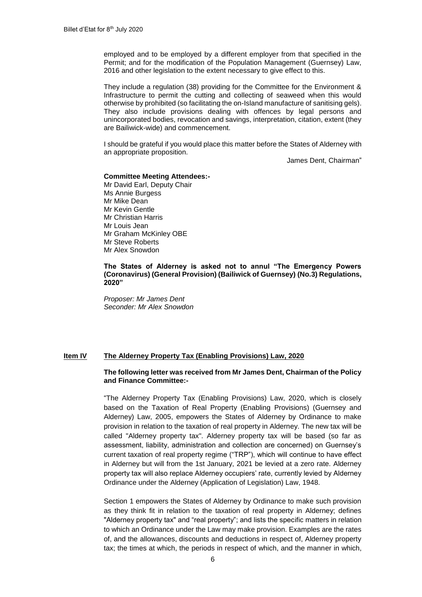employed and to be employed by a different employer from that specified in the Permit; and for the modification of the Population Management (Guernsey) Law, 2016 and other legislation to the extent necessary to give effect to this.

They include a regulation (38) providing for the Committee for the Environment & Infrastructure to permit the cutting and collecting of seaweed when this would otherwise by prohibited (so facilitating the on-Island manufacture of sanitising gels). They also include provisions dealing with offences by legal persons and unincorporated bodies, revocation and savings, interpretation, citation, extent (they are Bailiwick-wide) and commencement.

I should be grateful if you would place this matter before the States of Alderney with an appropriate proposition.

James Dent, Chairman"

#### **Committee Meeting Attendees:-**

Mr David Earl, Deputy Chair Ms Annie Burgess Mr Mike Dean Mr Kevin Gentle Mr Christian Harris Mr Louis Jean Mr Graham McKinley OBE Mr Steve Roberts Mr Alex Snowdon

**The States of Alderney is asked not to annul "The Emergency Powers (Coronavirus) (General Provision) (Bailiwick of Guernsey) (No.3) Regulations, 2020"** 

*Proposer: Mr James Dent Seconder: Mr Alex Snowdon*

#### **Item IV The Alderney Property Tax (Enabling Provisions) Law, 2020**

#### **The following letter was received from Mr James Dent, Chairman of the Policy and Finance Committee:-**

"The Alderney Property Tax (Enabling Provisions) Law, 2020, which is closely based on the Taxation of Real Property (Enabling Provisions) (Guernsey and Alderney) Law, 2005, empowers the States of Alderney by Ordinance to make provision in relation to the taxation of real property in Alderney. The new tax will be called "Alderney property tax". Alderney property tax will be based (so far as assessment, liability, administration and collection are concerned) on Guernsey's current taxation of real property regime ("TRP"), which will continue to have effect in Alderney but will from the 1st January, 2021 be levied at a zero rate. Alderney property tax will also replace Alderney occupiers' rate, currently levied by Alderney Ordinance under the Alderney (Application of Legislation) Law, 1948.

Section 1 empowers the States of Alderney by Ordinance to make such provision as they think fit in relation to the taxation of real property in Alderney; defines "Alderney property tax" and "real property"; and lists the specific matters in relation to which an Ordinance under the Law may make provision. Examples are the rates of, and the allowances, discounts and deductions in respect of, Alderney property tax; the times at which, the periods in respect of which, and the manner in which,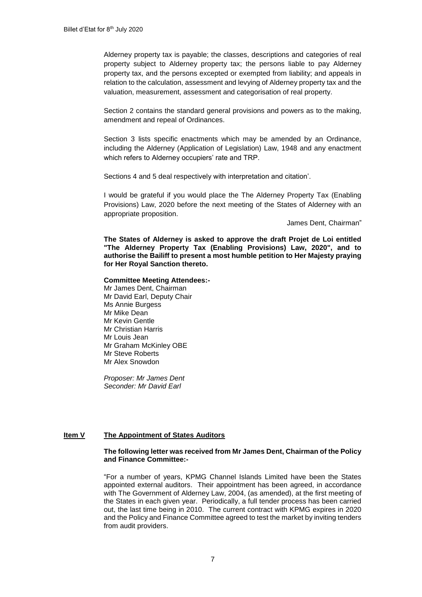Alderney property tax is payable; the classes, descriptions and categories of real property subject to Alderney property tax; the persons liable to pay Alderney property tax, and the persons excepted or exempted from liability; and appeals in relation to the calculation, assessment and levying of Alderney property tax and the valuation, measurement, assessment and categorisation of real property.

Section 2 contains the standard general provisions and powers as to the making, amendment and repeal of Ordinances.

Section 3 lists specific enactments which may be amended by an Ordinance, including the Alderney (Application of Legislation) Law, 1948 and any enactment which refers to Alderney occupiers' rate and TRP.

Sections 4 and 5 deal respectively with interpretation and citation'.

I would be grateful if you would place the The Alderney Property Tax (Enabling Provisions) Law, 2020 before the next meeting of the States of Alderney with an appropriate proposition.

James Dent, Chairman"

**The States of Alderney is asked to approve the draft Projet de Loi entitled "The Alderney Property Tax (Enabling Provisions) Law, 2020", and to authorise the Bailiff to present a most humble petition to Her Majesty praying for Her Royal Sanction thereto.**

#### **Committee Meeting Attendees:-**

Mr James Dent, Chairman Mr David Earl, Deputy Chair Ms Annie Burgess Mr Mike Dean Mr Kevin Gentle Mr Christian Harris Mr Louis Jean Mr Graham McKinley OBE Mr Steve Roberts Mr Alex Snowdon

*Proposer: Mr James Dent Seconder: Mr David Earl*

# **Item V The Appointment of States Auditors**

#### **The following letter was received from Mr James Dent, Chairman of the Policy and Finance Committee:-**

"For a number of years, KPMG Channel Islands Limited have been the States appointed external auditors. Their appointment has been agreed, in accordance with The Government of Alderney Law, 2004, (as amended), at the first meeting of the States in each given year. Periodically, a full tender process has been carried out, the last time being in 2010. The current contract with KPMG expires in 2020 and the Policy and Finance Committee agreed to test the market by inviting tenders from audit providers.